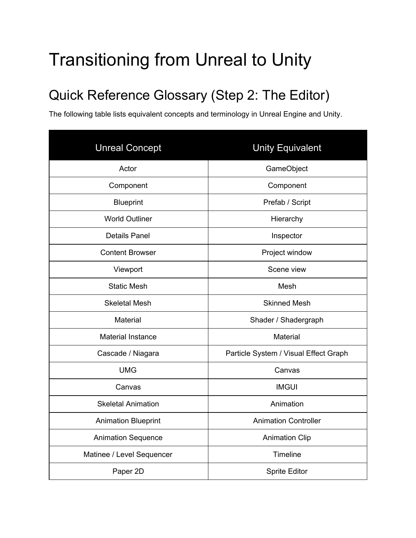# Transitioning from Unreal to Unity

## Quick Reference Glossary (Step 2: The Editor)

The following table lists equivalent concepts and terminology in Unreal Engine and Unity.

| <b>Unreal Concept</b>      | <b>Unity Equivalent</b>               |
|----------------------------|---------------------------------------|
| Actor                      | GameObject                            |
| Component                  | Component                             |
| <b>Blueprint</b>           | Prefab / Script                       |
| <b>World Outliner</b>      | Hierarchy                             |
| <b>Details Panel</b>       | Inspector                             |
| <b>Content Browser</b>     | Project window                        |
| Viewport                   | Scene view                            |
| <b>Static Mesh</b>         | Mesh                                  |
| <b>Skeletal Mesh</b>       | <b>Skinned Mesh</b>                   |
| Material                   | Shader / Shadergraph                  |
| <b>Material Instance</b>   | Material                              |
| Cascade / Niagara          | Particle System / Visual Effect Graph |
| <b>UMG</b>                 | Canvas                                |
| Canvas                     | <b>IMGUI</b>                          |
| <b>Skeletal Animation</b>  | Animation                             |
| <b>Animation Blueprint</b> | <b>Animation Controller</b>           |
| <b>Animation Sequence</b>  | <b>Animation Clip</b>                 |
| Matinee / Level Sequencer  | Timeline                              |
| Paper 2D                   | <b>Sprite Editor</b>                  |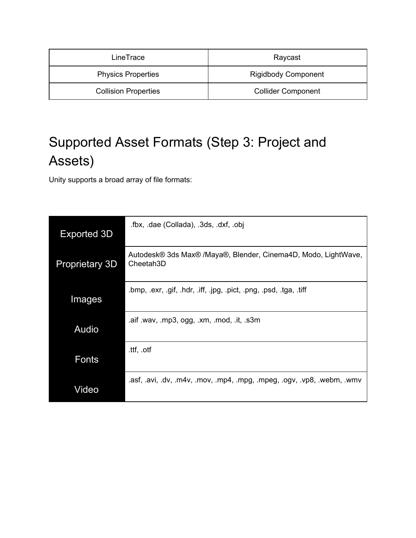| LineTrace                   | Raycast                    |
|-----------------------------|----------------------------|
| <b>Physics Properties</b>   | <b>Rigidbody Component</b> |
| <b>Collision Properties</b> | <b>Collider Component</b>  |

## Supported Asset Formats (Step 3: Project and Assets)

Unity supports a broad array of file formats:

| <b>Exported 3D</b>    | .fbx, .dae (Collada), .3ds, .dxf, .obj                                                   |
|-----------------------|------------------------------------------------------------------------------------------|
| <b>Proprietary 3D</b> | Autodesk® 3ds Max® /Maya®, Blender, Cinema4D, Modo, LightWave,<br>Cheetah <sub>3</sub> D |
| Images                | .bmp, .exr, .gif, .hdr, .iff, .jpg, .pict, .png, .psd, .tga, .tiff                       |
| Audio                 | .aif .wav, .mp3, ogg, .xm, .mod, .it, .s3m                                               |
| Fonts                 | .ttf, .otf                                                                               |
| Video                 | .asf, .avi, .dv, .m4v, .mov, .mp4, .mpg, .mpeg, .ogv, .vp8, .webm, .wmv                  |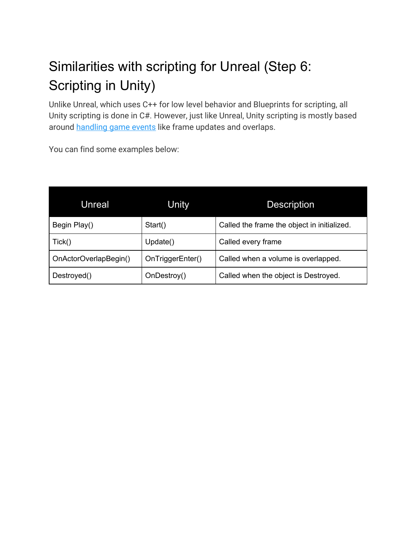# Similarities with scripting for Unreal (Step 6: Scripting in Unity)

Unlike Unreal, which uses C++ for low level behavior and Blueprints for scripting, all Unity scripting is done in C#. However, just like Unreal, Unity scripting is mostly based around [handling game events](https://docs.unity3d.com/Manual/EventFunctions.html) like frame updates and overlaps.

You can find some examples below:

| <b>Unreal</b>         | Unity            | <b>Description</b>                          |
|-----------------------|------------------|---------------------------------------------|
| Begin Play()          | Start()          | Called the frame the object in initialized. |
| Tick()                | Update()         | Called every frame                          |
| OnActorOverlapBegin() | OnTriggerEnter() | Called when a volume is overlapped.         |
| Destroyed()           | OnDestroy()      | Called when the object is Destroyed.        |